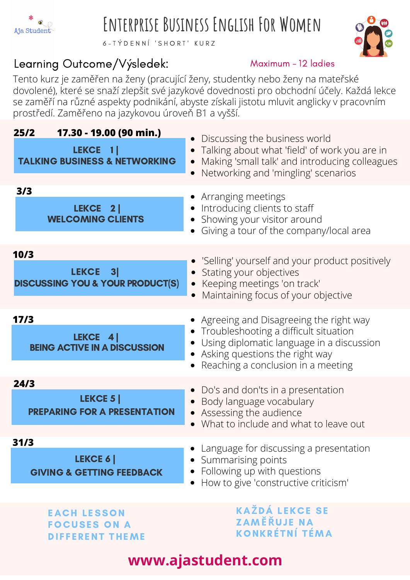

# **Enterprise Business English For Women**

6 - T Ý D E N N Í ' S H O R T ' K U R Z

#### Learning Outcome/Výsledek:



#### Maximum - 12 ladies

Tento kurz je zaměřen na ženy (pracující ženy, studentky nebo ženy na mateřské dovolené), které se snaží zlepšit své jazykové dovednosti pro obchodní účely. Každá lekce se zaměří na různé aspekty podnikání, abyste získali jistotu mluvit anglicky v pracovním prostředí. Zaměřeno na jazykovou úroveň B1 a vyšší.

| 17.30 - 19.00 (90 min.)<br>25/2<br>LEKCE 1<br><b>TALKING BUSINESS &amp; NETWORKING</b> | Discussing the business world<br>• Talking about what 'field' of work you are in<br>Making 'small talk' and introducing colleagues<br>Networking and 'mingling' scenarios                                      |
|----------------------------------------------------------------------------------------|----------------------------------------------------------------------------------------------------------------------------------------------------------------------------------------------------------------|
| 3/3<br>LEKCE 2<br><b>WELCOMING CLIENTS</b>                                             | • Arranging meetings<br>• Introducing clients to staff<br>• Showing your visitor around<br>Giving a tour of the company/local area                                                                             |
| 10/3<br>LEKCE 3<br><b>DISCUSSING YOU &amp; YOUR PRODUCT(S)</b>                         | • 'Selling' yourself and your product positively<br>• Stating your objectives<br>• Keeping meetings 'on track'<br>Maintaining focus of your objective<br>$\bullet$                                             |
| 17/3<br>LEKCE 4<br><b>BEING ACTIVE IN A DISCUSSION</b>                                 | • Agreeing and Disagreeing the right way<br>• Troubleshooting a difficult situation<br>• Using diplomatic language in a discussion<br>• Asking questions the right way<br>• Reaching a conclusion in a meeting |
| 24/3<br><b>LEKCE 5</b><br><b>PREPARING FOR A PRESENTATION</b>                          | • Do's and don'ts in a presentation<br>• Body language vocabulary<br>• Assessing the audience<br>What to include and what to leave out                                                                         |
| 31/3<br>LEKCE 6<br><b>GIVING &amp; GETTING FEEDBACK</b>                                | Language for discussing a presentation<br>Summarising points<br>$\bullet$<br>Following up with questions<br>How to give 'constructive criticism'                                                               |
| <b>EACH LESSON</b><br><b>FOCUSES ON A</b><br><b>DIFFERENT THEME</b>                    | <b>KAŽDÁ LEKCE SE</b><br><b>ZAMĚŘUJE NA</b><br>KONKRÉTNÍ TÉMA                                                                                                                                                  |

## **www.ajastudent.com**